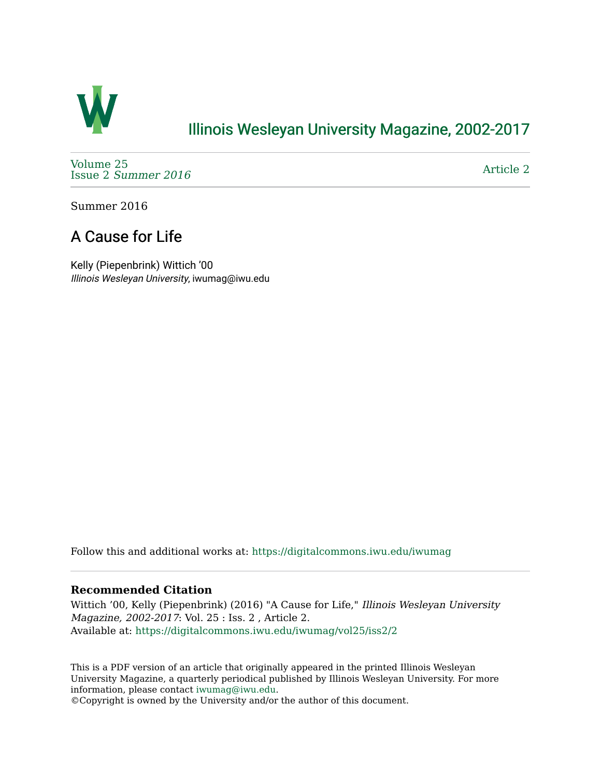

## [Illinois Wesleyan University Magazine, 2002-2017](https://digitalcommons.iwu.edu/iwumag)

[Volume 25](https://digitalcommons.iwu.edu/iwumag/vol25)  Issue 2 [Summer 2016](https://digitalcommons.iwu.edu/iwumag/vol25/iss2) 

[Article 2](https://digitalcommons.iwu.edu/iwumag/vol25/iss2/2) 

Summer 2016

# A Cause for Life

Kelly (Piepenbrink) Wittich '00 Illinois Wesleyan University, iwumag@iwu.edu

Follow this and additional works at: [https://digitalcommons.iwu.edu/iwumag](https://digitalcommons.iwu.edu/iwumag?utm_source=digitalcommons.iwu.edu%2Fiwumag%2Fvol25%2Fiss2%2F2&utm_medium=PDF&utm_campaign=PDFCoverPages) 

#### **Recommended Citation**

Wittich '00, Kelly (Piepenbrink) (2016) "A Cause for Life," Illinois Wesleyan University Magazine, 2002-2017: Vol. 25 : Iss. 2 , Article 2. Available at: [https://digitalcommons.iwu.edu/iwumag/vol25/iss2/2](https://digitalcommons.iwu.edu/iwumag/vol25/iss2/2?utm_source=digitalcommons.iwu.edu%2Fiwumag%2Fvol25%2Fiss2%2F2&utm_medium=PDF&utm_campaign=PDFCoverPages)

This is a PDF version of an article that originally appeared in the printed Illinois Wesleyan University Magazine, a quarterly periodical published by Illinois Wesleyan University. For more information, please contact [iwumag@iwu.edu](mailto:iwumag@iwu.edu).

©Copyright is owned by the University and/or the author of this document.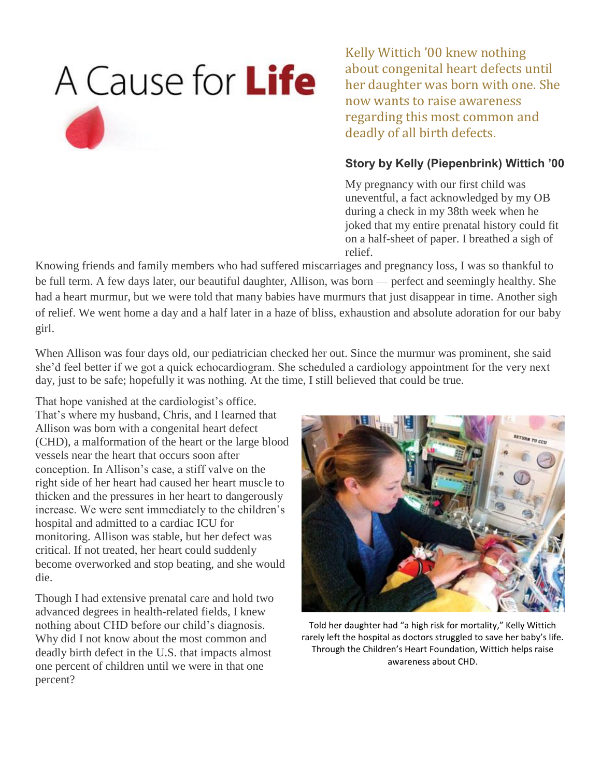

Kelly Wittich '00 knew nothing about congenital heart defects until her daughter was born with one. She now wants to raise awareness regarding this most common and deadly of all birth defects.

### **Story by Kelly (Piepenbrink) Wittich '00**

My pregnancy with our first child was uneventful, a fact acknowledged by my OB during a check in my 38th week when he joked that my entire prenatal history could fit on a half-sheet of paper. I breathed a sigh of relief.

Knowing friends and family members who had suffered miscarriages and pregnancy loss, I was so thankful to be full term. A few days later, our beautiful daughter, Allison, was born — perfect and seemingly healthy. She had a heart murmur, but we were told that many babies have murmurs that just disappear in time. Another sigh of relief. We went home a day and a half later in a haze of bliss, exhaustion and absolute adoration for our baby girl.

When Allison was four days old, our pediatrician checked her out. Since the murmur was prominent, she said she'd feel better if we got a quick echocardiogram. She scheduled a cardiology appointment for the very next day, just to be safe; hopefully it was nothing. At the time, I still believed that could be true.

That hope vanished at the cardiologist's office. That's where my husband, Chris, and I learned that Allison was born with a congenital heart defect (CHD), a malformation of the heart or the large blood vessels near the heart that occurs soon after conception. In Allison's case, a stiff valve on the right side of her heart had caused her heart muscle to thicken and the pressures in her heart to dangerously increase. We were sent immediately to the children's hospital and admitted to a cardiac ICU for monitoring. Allison was stable, but her defect was critical. If not treated, her heart could suddenly become overworked and stop beating, and she would die.

Though I had extensive prenatal care and hold two advanced degrees in health-related fields, I knew nothing about CHD before our child's diagnosis. Why did I not know about the most common and deadly birth defect in the U.S. that impacts almost one percent of children until we were in that one percent?



Told her daughter had "a high risk for mortality," Kelly Wittich rarely left the hospital as doctors struggled to save her baby's life. Through the Children's Heart Foundation, Wittich helps raise awareness about CHD.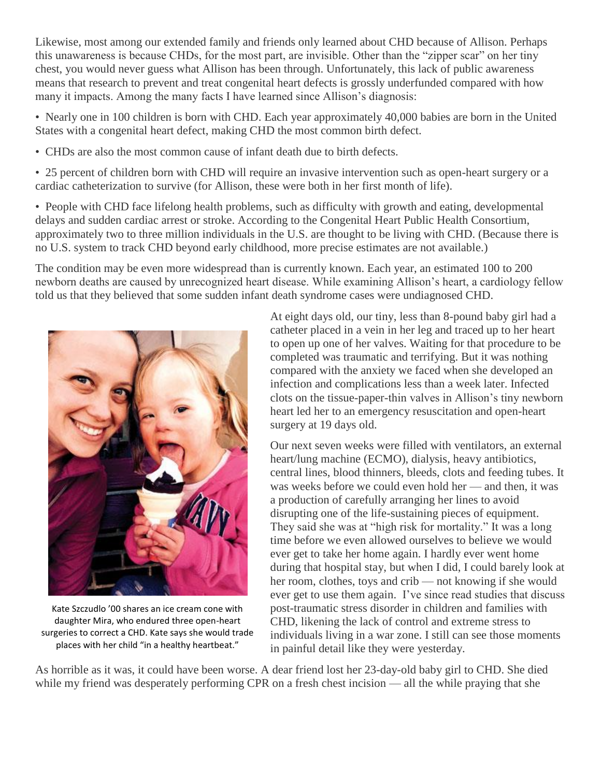Likewise, most among our extended family and friends only learned about CHD because of Allison. Perhaps this unawareness is because CHDs, for the most part, are invisible. Other than the "zipper scar" on her tiny chest, you would never guess what Allison has been through. Unfortunately, this lack of public awareness means that research to prevent and treat congenital heart defects is grossly underfunded compared with how many it impacts. Among the many facts I have learned since Allison's diagnosis:

• Nearly one in 100 children is born with CHD. Each year approximately 40,000 babies are born in the United States with a congenital heart defect, making CHD the most common birth defect.

• CHDs are also the most common cause of infant death due to birth defects.

• 25 percent of children born with CHD will require an invasive intervention such as open-heart surgery or a cardiac catheterization to survive (for Allison, these were both in her first month of life).

• People with CHD face lifelong health problems, such as difficulty with growth and eating, developmental delays and sudden cardiac arrest or stroke. According to the Congenital Heart Public Health Consortium, approximately two to three million individuals in the U.S. are thought to be living with CHD. (Because there is no U.S. system to track CHD beyond early childhood, more precise estimates are not available.)

The condition may be even more widespread than is currently known. Each year, an estimated 100 to 200 newborn deaths are caused by unrecognized heart disease. While examining Allison's heart, a cardiology fellow told us that they believed that some sudden infant death syndrome cases were undiagnosed CHD.



Kate Szczudlo '00 shares an ice cream cone with daughter Mira, who endured three open-heart surgeries to correct a CHD. Kate says she would trade places with her child "in a healthy heartbeat."

At eight days old, our tiny, less than 8-pound baby girl had a catheter placed in a vein in her leg and traced up to her heart to open up one of her valves. Waiting for that procedure to be completed was traumatic and terrifying. But it was nothing compared with the anxiety we faced when she developed an infection and complications less than a week later. Infected clots on the tissue-paper-thin valves in Allison's tiny newborn heart led her to an emergency resuscitation and open-heart surgery at 19 days old.

Our next seven weeks were filled with ventilators, an external heart/lung machine (ECMO), dialysis, heavy antibiotics, central lines, blood thinners, bleeds, clots and feeding tubes. It was weeks before we could even hold her — and then, it was a production of carefully arranging her lines to avoid disrupting one of the life-sustaining pieces of equipment. They said she was at "high risk for mortality." It was a long time before we even allowed ourselves to believe we would ever get to take her home again. I hardly ever went home during that hospital stay, but when I did, I could barely look at her room, clothes, toys and crib — not knowing if she would ever get to use them again. I've since read studies that discuss post-traumatic stress disorder in children and families with CHD, likening the lack of control and extreme stress to individuals living in a war zone. I still can see those moments in painful detail like they were yesterday.

As horrible as it was, it could have been worse. A dear friend lost her 23-day-old baby girl to CHD. She died while my friend was desperately performing CPR on a fresh chest incision — all the while praying that she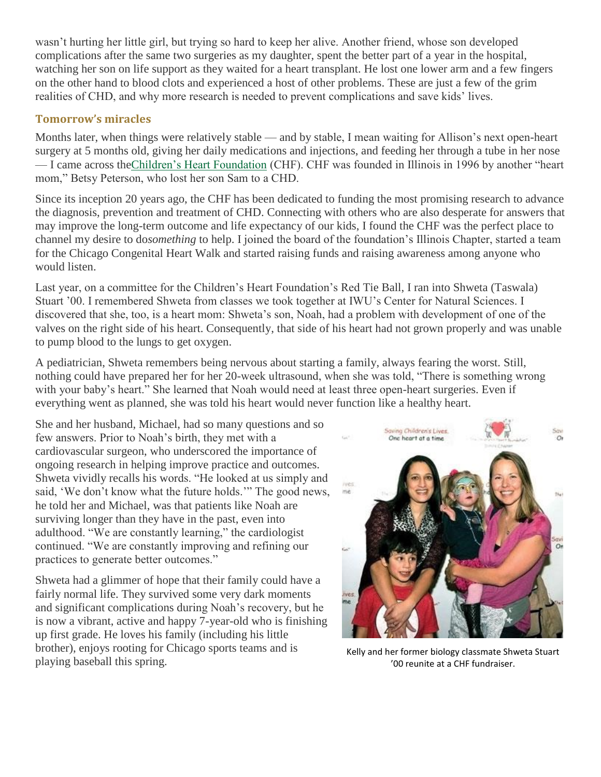wasn't hurting her little girl, but trying so hard to keep her alive. Another friend, whose son developed complications after the same two surgeries as my daughter, spent the better part of a year in the hospital, watching her son on life support as they waited for a heart transplant. He lost one lower arm and a few fingers on the other hand to blood clots and experienced a host of other problems. These are just a few of the grim realities of CHD, and why more research is needed to prevent complications and save kids' lives.

#### **Tomorrow's miracles**

Months later, when things were relatively stable — and by stable, I mean waiting for Allison's next open-heart surgery at 5 months old, giving her daily medications and injections, and feeding her through a tube in her nose — I came across th[eChildren's Heart Foundation](http://www.childrensheartfoundation.org/) (CHF). CHF was founded in Illinois in 1996 by another "heart mom," Betsy Peterson, who lost her son Sam to a CHD.

Since its inception 20 years ago, the CHF has been dedicated to funding the most promising research to advance the diagnosis, prevention and treatment of CHD. Connecting with others who are also desperate for answers that may improve the long-term outcome and life expectancy of our kids, I found the CHF was the perfect place to channel my desire to do*something* to help. I joined the board of the foundation's Illinois Chapter, started a team for the Chicago Congenital Heart Walk and started raising funds and raising awareness among anyone who would listen.

Last year, on a committee for the Children's Heart Foundation's Red Tie Ball, I ran into Shweta (Taswala) Stuart '00. I remembered Shweta from classes we took together at IWU's Center for Natural Sciences. I discovered that she, too, is a heart mom: Shweta's son, Noah, had a problem with development of one of the valves on the right side of his heart. Consequently, that side of his heart had not grown properly and was unable to pump blood to the lungs to get oxygen.

A pediatrician, Shweta remembers being nervous about starting a family, always fearing the worst. Still, nothing could have prepared her for her 20-week ultrasound, when she was told, "There is something wrong with your baby's heart." She learned that Noah would need at least three open-heart surgeries. Even if everything went as planned, she was told his heart would never function like a healthy heart.

She and her husband, Michael, had so many questions and so few answers. Prior to Noah's birth, they met with a cardiovascular surgeon, who underscored the importance of ongoing research in helping improve practice and outcomes. Shweta vividly recalls his words. "He looked at us simply and said, 'We don't know what the future holds.'" The good news, he told her and Michael, was that patients like Noah are surviving longer than they have in the past, even into adulthood. "We are constantly learning," the cardiologist continued. "We are constantly improving and refining our practices to generate better outcomes."

Shweta had a glimmer of hope that their family could have a fairly normal life. They survived some very dark moments and significant complications during Noah's recovery, but he is now a vibrant, active and happy 7-year-old who is finishing up first grade. He loves his family (including his little brother), enjoys rooting for Chicago sports teams and is playing baseball this spring.



Kelly and her former biology classmate Shweta Stuart '00 reunite at a CHF fundraiser.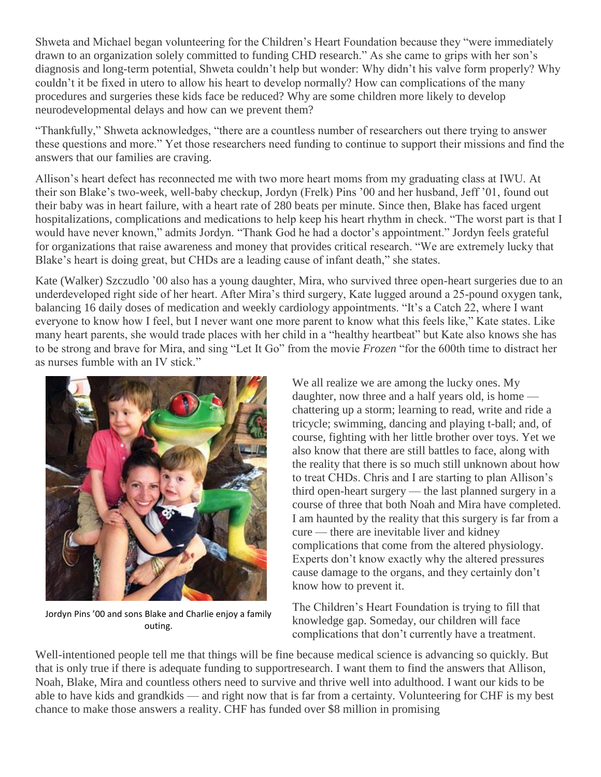Shweta and Michael began volunteering for the Children's Heart Foundation because they "were immediately drawn to an organization solely committed to funding CHD research." As she came to grips with her son's diagnosis and long-term potential, Shweta couldn't help but wonder: Why didn't his valve form properly? Why couldn't it be fixed in utero to allow his heart to develop normally? How can complications of the many procedures and surgeries these kids face be reduced? Why are some children more likely to develop neurodevelopmental delays and how can we prevent them?

"Thankfully," Shweta acknowledges, "there are a countless number of researchers out there trying to answer these questions and more." Yet those researchers need funding to continue to support their missions and find the answers that our families are craving.

Allison's heart defect has reconnected me with two more heart moms from my graduating class at IWU. At their son Blake's two-week, well-baby checkup, Jordyn (Frelk) Pins '00 and her husband, Jeff '01, found out their baby was in heart failure, with a heart rate of 280 beats per minute. Since then, Blake has faced urgent hospitalizations, complications and medications to help keep his heart rhythm in check. "The worst part is that I would have never known," admits Jordyn. "Thank God he had a doctor's appointment." Jordyn feels grateful for organizations that raise awareness and money that provides critical research. "We are extremely lucky that Blake's heart is doing great, but CHDs are a leading cause of infant death," she states.

Kate (Walker) Szczudlo '00 also has a young daughter, Mira, who survived three open-heart surgeries due to an underdeveloped right side of her heart. After Mira's third surgery, Kate lugged around a 25-pound oxygen tank, balancing 16 daily doses of medication and weekly cardiology appointments. "It's a Catch 22, where I want everyone to know how I feel, but I never want one more parent to know what this feels like," Kate states. Like many heart parents, she would trade places with her child in a "healthy heartbeat" but Kate also knows she has to be strong and brave for Mira, and sing "Let It Go" from the movie *Frozen* "for the 600th time to distract her as nurses fumble with an IV stick."



Jordyn Pins '00 and sons Blake and Charlie enjoy a family outing.

We all realize we are among the lucky ones. My daughter, now three and a half years old, is home chattering up a storm; learning to read, write and ride a tricycle; swimming, dancing and playing t-ball; and, of course, fighting with her little brother over toys. Yet we also know that there are still battles to face, along with the reality that there is so much still unknown about how to treat CHDs. Chris and I are starting to plan Allison's third open-heart surgery — the last planned surgery in a course of three that both Noah and Mira have completed. I am haunted by the reality that this surgery is far from a cure — there are inevitable liver and kidney complications that come from the altered physiology. Experts don't know exactly why the altered pressures cause damage to the organs, and they certainly don't know how to prevent it.

The Children's Heart Foundation is trying to fill that knowledge gap. Someday, our children will face complications that don't currently have a treatment.

Well-intentioned people tell me that things will be fine because medical science is advancing so quickly. But that is only true if there is adequate funding to supportresearch. I want them to find the answers that Allison, Noah, Blake, Mira and countless others need to survive and thrive well into adulthood. I want our kids to be able to have kids and grandkids — and right now that is far from a certainty. Volunteering for CHF is my best chance to make those answers a reality. CHF has funded over \$8 million in promising